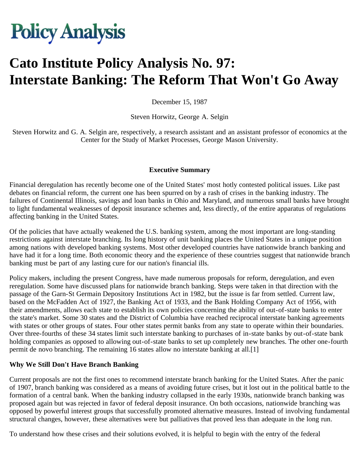# **Policy Analysis**

# **Cato Institute Policy Analysis No. 97: Interstate Banking: The Reform That Won't Go Away**

December 15, 1987

Steven Horwitz, George A. Selgin

Steven Horwitz and G. A. Selgin are, respectively, a research assistant and an assistant professor of economics at the Center for the Study of Market Processes, George Mason University.

#### **Executive Summary**

Financial deregulation has recently become one of the United States' most hotly contested political issues. Like past debates on financial reform, the current one has been spurred on by a rash of crises in the banking industry. The failures of Continental Illinois, savings and loan banks in Ohio and Maryland, and numerous small banks have brought to light fundamental weaknesses of deposit insurance schemes and, less directly, of the entire apparatus of regulations affecting banking in the United States.

Of the policies that have actually weakened the U.S. banking system, among the most important are long-standing restrictions against interstate branching. Its long history of unit banking places the United States in a unique position among nations with developed banking systems. Most other developed countries have nationwide branch banking and have had it for a long time. Both economic theory and the experience of these countries suggest that nationwide branch banking must be part of any lasting cure for our nation's financial ills.

Policy makers, including the present Congress, have made numerous proposals for reform, deregulation, and even reregulation. Some have discussed plans for nationwide branch banking. Steps were taken in that direction with the passage of the Garn-St Germain Depository Institutions Act in 1982, but the issue is far from settled. Current law, based on the McFadden Act of 1927, the Banking Act of 1933, and the Bank Holding Company Act of 1956, with their amendments, allows each state to establish its own policies concerning the ability of out-of-state banks to enter the state's market. Some 30 states and the District of Columbia have reached reciprocal interstate banking agreements with states or other groups of states. Four other states permit banks from any state to operate within their boundaries. Over three-fourths of these 34 states limit such interstate banking to purchases of in-state banks by out-of-state bank holding companies as opposed to allowing out-of-state banks to set up completely new branches. The other one-fourth permit de novo branching. The remaining 16 states allow no interstate banking at all.[1]

#### **Why We Still Don't Have Branch Banking**

Current proposals are not the first ones to recommend interstate branch banking for the United States. After the panic of 1907, branch banking was considered as a means of avoiding future crises, but it lost out in the political battle to the formation of a central bank. When the banking industry collapsed in the early 1930s, nationwide branch banking was proposed again but was rejected in favor of federal deposit insurance. On both occasions, nationwide branching was opposed by powerful interest groups that successfully promoted alternative measures. Instead of involving fundamental structural changes, however, these alternatives were but palliatives that proved less than adequate in the long run.

To understand how these crises and their solutions evolved, it is helpful to begin with the entry of the federal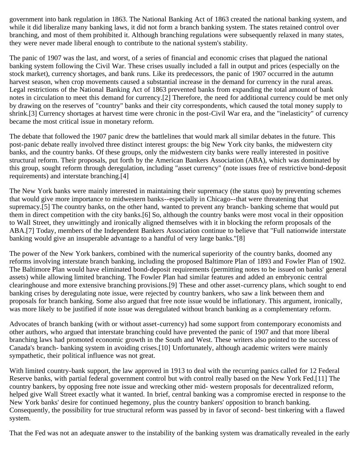government into bank regulation in 1863. The National Banking Act of 1863 created the national banking system, and while it did liberalize many banking laws, it did not form a branch banking system. The states retained control over branching, and most of them prohibited it. Although branching regulations were subsequently relaxed in many states, they were never made liberal enough to contribute to the national system's stability.

The panic of 1907 was the last, and worst, of a series of financial and economic crises that plagued the national banking system following the Civil War. These crises usually included a fall in output and prices (especially on the stock market), currency shortages, and bank runs. Like its predecessors, the panic of 1907 occurred in the autumn harvest season, when crop movements caused a substantial increase in the demand for currency in the rural areas. Legal restrictions of the National Banking Act of 1863 prevented banks from expanding the total amount of bank notes in circulation to meet this demand for currency.[2] Therefore, the need for additional currency could be met only by drawing on the reserves of "country" banks and their city correspondents, which caused the total money supply to shrink.[3] Currency shortages at harvest time were chronic in the post-Civil War era, and the "inelasticity" of currency became the most critical issue in monetary reform.

The debate that followed the 1907 panic drew the battlelines that would mark all similar debates in the future. This post-panic debate really involved three distinct interest groups: the big New York city banks, the midwestern city banks, and the country banks. Of these groups, only the midwestern city banks were really interested in positive structural reform. Their proposals, put forth by the American Bankers Association (ABA), which was dominated by this group, sought reform through deregulation, including "asset currency" (note issues free of restrictive bond-deposit requirements) and interstate branching.[4]

The New York banks were mainly interested in maintaining their supremacy (the status quo) by preventing schemes that would give more importance to midwestern banks--especially in Chicago--that were threatening that supremacy.[5] The country banks, on the other hand, wanted to prevent any branch- banking scheme that would put them in direct competition with the city banks.[6] So, although the country banks were most vocal in their opposition to Wall Street, they unwittingly and ironically aligned themselves with it in blocking the reform proposals of the ABA.[7] Today, members of the Independent Bankers Association continue to believe that "Full nationwide interstate banking would give an insuperable advantage to a handful of very large banks."[8]

The power of the New York bankers, combined with the numerical superiority of the country banks, doomed any reforms involving interstate branch banking, including the proposed Baltimore Plan of 1893 and Fowler Plan of 1902. The Baltimore Plan would have eliminated bond-deposit requirements (permitting notes to be issued on banks' general assets) while allowing limited branching. The Fowler Plan had similar features and added an embryonic central clearinghouse and more extensive branching provisions.[9] These and other asset-currency plans, which sought to end banking crises by deregulating note issue, were rejected by country bankers, who saw a link between them and proposals for branch banking. Some also argued that free note issue would be inflationary. This argument, ironically, was more likely to be justified if note issue was deregulated without branch banking as a complementary reform.

Advocates of branch banking (with or without asset-currency) had some support from contemporary economists and other authors, who argued that interstate branching could have prevented the panic of 1907 and that more liberal branching laws had promoted economic growth in the South and West. These writers also pointed to the success of Canada's branch- banking system in avoiding crises.[10] Unfortunately, although academic writers were mainly sympathetic, their political influence was not great.

With limited country-bank support, the law approved in 1913 to deal with the recurring panics called for 12 Federal Reserve banks, with partial federal government control but with control really based on the New York Fed.[11] The country bankers, by opposing free note issue and wrecking other mid- western proposals for decentralized reform, helped give Wall Street exactly what it wanted. In brief, central banking was a compromise erected in response to the New York banks' desire for continued hegemony, plus the country bankers' opposition to branch banking. Consequently, the possibility for true structural reform was passed by in favor of second- best tinkering with a flawed system.

That the Fed was not an adequate answer to the instability of the banking system was dramatically revealed in the early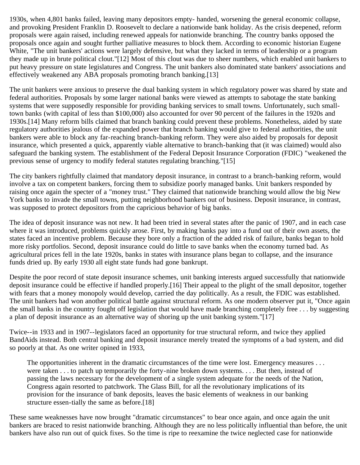1930s, when 4,801 banks failed, leaving many depositors empty- handed, worsening the general economic collapse, and provoking President Franklin D. Roosevelt to declare a nationwide bank holiday. As the crisis deepened, reform proposals were again raised, including renewed appeals for nationwide branching. The country banks opposed the proposals once again and sought further palliative measures to block them. According to economic historian Eugene White, "The unit bankers' actions were largely defensive, but what they lacked in terms of leadership or a program they made up in brute political clout."[12] Most of this clout was due to sheer numbers, which enabled unit bankers to put heavy pressure on state legislatures and Congress. The unit bankers also dominated state bankers' associations and effectively weakened any ABA proposals promoting branch banking.[13]

The unit bankers were anxious to preserve the dual banking system in which regulatory power was shared by state and federal authorities. Proposals by some larger national banks were viewed as attempts to sabotage the state banking systems that were supposedly responsible for providing banking services to small towns. Unfortunately, such smalltown banks (with capital of less than \$100,000) also accounted for over 90 percent of the failures in the 1920s and 1930s.[14] Many reform bills claimed that branch banking could prevent these problems. Nonetheless, aided by state regulatory authorities jealous of the expanded power that branch banking would give to federal authorities, the unit bankers were able to block any far-reaching branch-banking reform. They were also aided by proposals for deposit insurance, which presented a quick, apparently viable alternative to branch-banking that (it was claimed) would also safeguard the banking system. The establishment of the Federal Deposit Insurance Corporation (FDIC) "weakened the previous sense of urgency to modify federal statutes regulating branching."[15]

The city bankers rightfully claimed that mandatory deposit insurance, in contrast to a branch-banking reform, would involve a tax on competent bankers, forcing them to subsidize poorly managed banks. Unit bankers responded by raising once again the specter of a "money trust." They claimed that nationwide branching would allow the big New York banks to invade the small towns, putting neighborhood bankers out of business. Deposit insurance, in contrast, was supposed to protect depositors from the capricious behavior of big banks.

The idea of deposit insurance was not new. It had been tried in several states after the panic of 1907, and in each case where it was introduced, problems quickly arose. First, by making banks pay into a fund out of their own assets, the states faced an incentive problem. Because they bore only a fraction of the added risk of failure, banks began to hold more risky portfolios. Second, deposit insurance could do little to save banks when the economy turned bad. As agricultural prices fell in the late 1920s, banks in states with insurance plans began to collapse, and the insurance funds dried up. By early 1930 all eight state funds had gone bankrupt.

Despite the poor record of state deposit insurance schemes, unit banking interests argued successfully that nationwide deposit insurance could be effective if handled properly.[16] Their appeal to the plight of the small depositor, together with fears that a money monopoly would develop, carried the day politically. As a result, the FDIC was established. The unit bankers had won another political battle against structural reform. As one modern observer put it, "Once again the small banks in the country fought off legislation that would have made branching completely free . . . by suggesting a plan of deposit insurance as an alternative way of shoring up the unit banking system."[17]

Twice--in 1933 and in 1907--legislators faced an opportunity for true structural reform, and twice they applied BandAids instead. Both central banking and deposit insurance merely treated the symptoms of a bad system, and did so poorly at that. As one writer opined in 1933,

The opportunities inherent in the dramatic circumstances of the time were lost. Emergency measures . . . were taken . . . to patch up temporarily the forty-nine broken down systems. . . . But then, instead of passing the laws necessary for the development of a single system adequate for the needs of the Nation, Congress again resorted to patchwork. The Glass Bill, for all the revolutionary implications of its provision for the insurance of bank deposits, leaves the basic elements of weakness in our banking structure essen-tially the same as before.[18]

These same weaknesses have now brought "dramatic circumstances" to bear once again, and once again the unit bankers are braced to resist nationwide branching. Although they are no less politically influential than before, the unit bankers have also run out of quick fixes. So the time is ripe to reexamine the twice neglected case for nationwide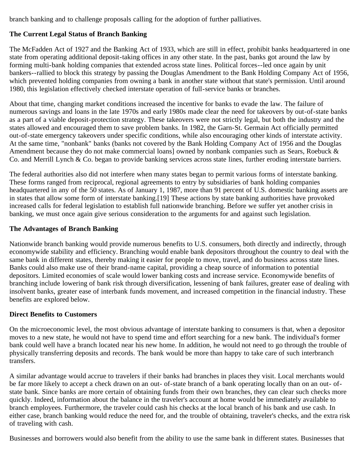branch banking and to challenge proposals calling for the adoption of further palliatives.

### **The Current Legal Status of Branch Banking**

The McFadden Act of 1927 and the Banking Act of 1933, which are still in effect, prohibit banks headquartered in one state from operating additional deposit-taking offices in any other state. In the past, banks got around the law by forming multi-bank holding companies that extended across state lines. Political forces--led once again by unit bankers--rallied to block this strategy by passing the Douglas Amendment to the Bank Holding Company Act of 1956, which prevented holding companies from owning a bank in another state without that state's permission. Until around 1980, this legislation effectively checked interstate operation of full-service banks or branches.

About that time, changing market conditions increased the incentive for banks to evade the law. The failure of numerous savings and loans in the late 1970s and early 1980s made clear the need for takeovers by out-of-state banks as a part of a viable deposit-protection strategy. These takeovers were not strictly legal, but both the industry and the states allowed and encouraged them to save problem banks. In 1982, the Garn-St. Germain Act officially permitted out-of-state emergency takeovers under specific conditions, while also encouraging other kinds of interstate activity. At the same time, "nonbank" banks (banks not covered by the Bank Holding Company Act of 1956 and the Douglas Amendment because they do not make commercial loans] owned by nonbank companies such as Sears, Roebuck & Co. and Merrill Lynch & Co. began to provide banking services across state lines, further eroding interstate barriers.

The federal authorities also did not interfere when many states began to permit various forms of interstate banking. These forms ranged from reciprocal, regional agreements to entry by subsidiaries of bank holding companies headquartered in any of the 50 states. As of January 1, 1987, more than 91 percent of U.S. domestic banking assets are in states that allow some form of interstate banking.[19] These actions by state banking authorities have provoked increased calls for federal legislation to establish full nationwide branching. Before we suffer yet another crisis in banking, we must once again give serious consideration to the arguments for and against such legislation.

#### **The Advantages of Branch Banking**

Nationwide branch banking would provide numerous benefits to U.S. consumers, both directly and indirectly, through economywide stability and efficiency. Branching would enable bank depositors throughout the country to deal with the same bank in different states, thereby making it easier for people to move, travel, and do business across state lines. Banks could also make use of their brand-name capital, providing a cheap source of information to potential depositors. Limited economies of scale would lower banking costs and increase service. Economywide benefits of branching include lowering of bank risk through diversification, lessening of bank failures, greater ease of dealing with insolvent banks, greater ease of interbank funds movement, and increased competition in the financial industry. These benefits are explored below.

#### **Direct Benefits to Customers**

On the microeconomic level, the most obvious advantage of interstate banking to consumers is that, when a depositor moves to a new state, he would not have to spend time and effort searching for a new bank. The individual's former bank could well have a branch located near his new home. In addition, he would not need to go through the trouble of physically transferring deposits and records. The bank would be more than happy to take care of such interbranch transfers.

A similar advantage would accrue to travelers if their banks had branches in places they visit. Local merchants would be far more likely to accept a check drawn on an out- of-state branch of a bank operating locally than on an out- ofstate bank. Since banks are more certain of obtaining funds from their own branches, they can clear such checks more quickly. Indeed, information about the balance in the traveler's account at home would be immediately available to branch employees. Furthermore, the traveler could cash his checks at the local branch of his bank and use cash. In either case, branch banking would reduce the need for, and the trouble of obtaining, traveler's checks, and the extra risk of traveling with cash.

Businesses and borrowers would also benefit from the ability to use the same bank in different states. Businesses that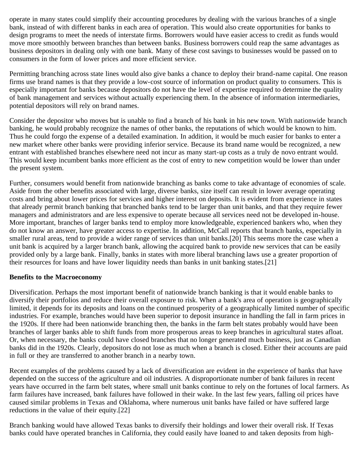operate in many states could simplify their accounting procedures by dealing with the various branches of a single bank, instead of with different banks in each area of operation. This would also create opportunities for banks to design programs to meet the needs of interstate firms. Borrowers would have easier access to credit as funds would move more smoothly between branches than between banks. Business borrowers could reap the same advantages as business depositors in dealing only with one bank. Many of these cost savings to businesses would be passed on to consumers in the form of lower prices and more efficient service.

Permitting branching across state lines would also give banks a chance to deploy their brand-name capital. One reason firms use brand names is that they provide a low-cost source of information on product quality to consumers. This is especially important for banks because depositors do not have the level of expertise required to determine the quality of bank management and services without actually experiencing them. In the absence of information intermediaries, potential depositors will rely on brand names.

Consider the depositor who moves but is unable to find a branch of his bank in his new town. With nationwide branch banking, he would probably recognize the names of other banks, the reputations of which would be known to him. Thus he could forgo the expense of a detailed examination. In addition, it would be much easier for banks to enter a new market where other banks were providing inferior service. Because its brand name would be recognized, a new entrant with established branches elsewhere need not incur as many start-up costs as a truly de novo entrant would. This would keep incumbent banks more efficient as the cost of entry to new competition would be lower than under the present system.

Further, consumers would benefit from nationwide branching as banks come to take advantage of economies of scale. Aside from the other benefits associated with large, diverse banks, size itself can result in lower average operating costs and bring about lower prices for services and higher interest on deposits. It is evident from experience in states that already permit branch banking that branched banks tend to be larger than unit banks, and that they require fewer managers and administrators and are less expensive to operate because all services need not be developed in-house. More important, branches of larger banks tend to employ more knowledgeable, experienced bankers who, when they do not know an answer, have greater access to expertise. In addition, McCall reports that branch banks, especially in smaller rural areas, tend to provide a wider range of services than unit banks.[20] This seems more the case when a unit bank is acquired by a larger branch bank, allowing the acquired bank to provide new services that can be easily provided only by a large bank. Finally, banks in states with more liberal branching laws use a greater proportion of their resources for loans and have lower liquidity needs than banks in unit banking states.[21]

#### **Benefits to the Macroeconomy**

Diversification. Perhaps the most important benefit of nationwide branch banking is that it would enable banks to diversify their portfolios and reduce their overall exposure to risk. When a bank's area of operation is geographically limited, it depends for its deposits and loans on the continued prosperity of a geographically limited number of specific industries. For example, branches would have been superior to deposit insurance in handling the fall in farm prices in the 1920s. If there had been nationwide branching then, the banks in the farm belt states probably would have been branches of larger banks able to shift funds from more prosperous areas to keep branches in agricultural states afloat. Or, when necessary, the banks could have closed branches that no longer generated much business, just as Canadian banks did in the 1920s. Clearly, depositors do not lose as much when a branch is closed. Either their accounts are paid in full or they are transferred to another branch in a nearby town.

Recent examples of the problems caused by a lack of diversification are evident in the experience of banks that have depended on the success of the agriculture and oil industries. A disproportionate number of bank failures in recent years have occurred in the farm belt states, where small unit banks continue to rely on the fortunes of local farmers. As farm failures have increased, bank failures have followed in their wake. In the last few years, falling oil prices have caused similar problems in Texas and Oklahoma, where numerous unit banks have failed or have suffered large reductions in the value of their equity.[22]

Branch banking would have allowed Texas banks to diversify their holdings and lower their overall risk. If Texas banks could have operated branches in California, they could easily have loaned to and taken deposits from high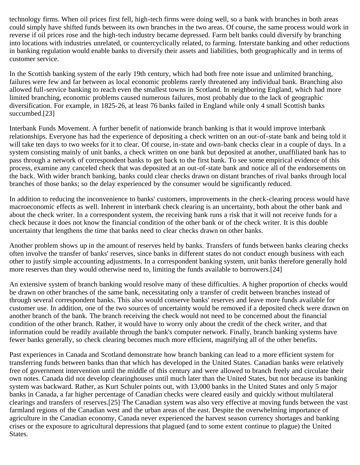technology firms. When oil prices first fell, high-tech firms were doing well, so a bank with branches in both areas could simply have shifted funds between its own branches in the two areas. Of course, the same process would work in reverse if oil prices rose and the high-tech industry became depressed. Farm belt banks could diversify by branching into locations with industries unrelated, or countercyclically related, to farming. Interstate banking and other reductions in banking regulation would enable banks to diversify their assets and liabilities, both geographically and in terms of customer service.

In the Scottish banking system of the early 19th century, which had both free note issue and unlimited branching, failures were few and far between as local economic problems rarely threatened any individual bank. Branching also allowed full-service banking to reach even the smallest towns in Scotland. In neighboring England, which had more limited branching, economic problems caused numerous failures, most probably due to the lack of geographic diversification. For example, in 1825-26, at least 76 banks failed in England while only 4 small Scottish banks succumbed.[23]

Interbank Funds Movement. A further benefit of nationwide branch banking is that it would improve interbank relationships. Everyone has had the experience of depositing a check written on an out-of-state bank and being told it will take ten days to two weeks for it to clear. Of course, in-state and own-bank checks clear in a couple of days. In a system consisting mainly of unit banks, a check written on one bank but deposited at another, unaffiliated bank has to pass through a network of correspondent banks to get back to the first bank. To see some empirical evidence of this process, examine any canceled check that was deposited at an out-of-state bank and notice all of the endorsements on the back. With wider branch banking, banks could clear checks drawn on distant branches of rival banks through local branches of those banks; so the delay experienced by the consumer would be significantly reduced.

In addition to reducing the inconvenience to banks' customers, improvements in the check-clearing process would have macroeconomic effects as well. Inherent in interbank check clearing is an uncertainty, both about the other bank and about the check writer. In a correspondent system, the receiving bank runs a risk that it will not receive funds for a check because it does not know the financial condition of the other bank or of the check writer. It is this double uncertainty that lengthens the time that banks need to clear checks drawn on other banks.

Another problem shows up in the amount of reserves held by banks. Transfers of funds between banks clearing checks often involve the transfer of banks' reserves, since banks in different states do not conduct enough business with each other to justify simple accounting adjustments. In a correspondent banking system, unit banks therefore generally hold more reserves than they would otherwise need to, limiting the funds available to borrowers.[24]

An extensive system of branch banking would resolve many of these difficulties. A higher proportion of checks would be drawn on other branches of the same bank, necessitating only a transfer of credit between branches instead of through several correspondent banks. This also would conserve banks' reserves and leave more funds available for customer use. In addition, one of the two sources of uncertainty would be removed if a deposited check were drawn on another branch of the bank. The branch receiving the check would not need to be concerned about the financial condition of the other branch. Rather, it would have to worry only about the credit of the check writer, and that information could be readily available through the bank's computer network. Finally, branch banking systems have fewer banks generally, so check clearing becomes much more efficient, magnifying all of the other benefits.

Past experiences in Canada and Scotland demonstrate how branch banking can lead to a more efficient system for transferring funds between banks than that which has developed in the United States. Canadian banks were relatively free of government intervention until the middle of this century and were allowed to branch freely and circulate their own notes. Canada did not develop clearinghouses until much later than the United States, but not because its banking system was backward. Rather, as Kurt Schuler points out, with 13,000 banks in the United States and only 5 major banks in Canada, a far higher percentage of Canadian checks were cleared easily and quickly without multilateral clearings and transfers of reserves.[25] The Canadian system was also very effective at moving funds between the vast farmland regions of the Canadian west and the urban areas of the east. Despite the overwhelming importance of agriculture in the Canadian economy, Canada never experienced the harvest season currency shortages and banking crises or the exposure to agricultural depressions that plagued (and to some extent continue to plague) the United States.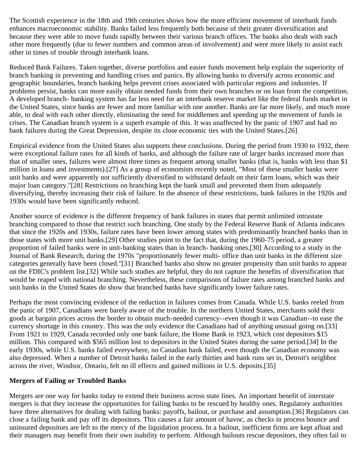The Scottish experience in the 18th and 19th centuries shows how the more efficient movement of interbank funds enhances macroeconomic stability. Banks failed less frequently both because of their greater diversification and because they were able to move funds rapidly between their various branch offices. The banks also dealt with each other more frequently (due to fewer numbers and common areas of involvement) and were more likely to assist each other in times of trouble through interbank loans.

Reduced Bank Failures. Taken together, diverse portfolios and easier funds movement help explain the superiority of branch banking in preventing and handling crises and panics. By allowing banks to diversify across economic and geographic boundaries, branch banking helps prevent crises associated with particular regions and industries. If problems persist, banks can more easily obtain needed funds from their own branches or on loan from the competition. A developed branch- banking system has far less need for an interbank reserve market like the federal funds market in the United States, since banks are fewer and more familiar with one another. Banks are far more likely, and much more able, to deal with each other directly, eliminating the need for middlemen and speeding up the movement of funds in crises. The Canadian branch system is a superb example of this. It was unaffected by the panic of 1907 and had no bank failures during the Great Depression, despite its close economic ties with the United States.[26]

Empirical evidence from the United States also supports these conclusions. During the period from 1930 to 1932, there were exceptional failure rates for all kinds of banks, and although the failure rate of larger banks increased more than that of smaller ones, failures were almost three times as frequent among smaller banks (that is, banks with less than \$1 million in loans and investments).[27] As a group of economists recently noted, "Most of these smaller banks were unit banks and were apparently not sufficiently diversified to withstand default on their farm loans, which was their major loan category."[28] Restrictions on branching kept the bank small and prevented them from adequately diversifying, thereby increasing their risk of failure. In the absence of these restrictions, bank failures in the 1920s and 1930s would have been significantly reduced.

Another source of evidence is the different frequency of bank failures in states that permit unlimited intrastate branching compared to those that restrict such branching. One study by the Federal Reserve Bank of Atlanta indicates that since the 1920s and 1930s, failure rates have been lower among states with predominantly branched banks than in those states with more unit banks.[29] Other studies point to the fact that, during the 1960-75 period, a greater proportion of failed banks were in unit-banking states than in branch- banking ones.[30] According to a study in the Journal of Bank Research, during the 1970s "proportionately fewer multi- office than unit banks in the different size categories generally have been closed."[31] Branched banks also show no greater propensity than unit banks to appear on the FDIC's problem list.[32] While such studies are helpful, they do not capture the benefits of diversification that would be reaped with national branching. Nevertheless, these comparisons of failure rates among branched banks and unit banks in the United States do show that branched banks have significantly lower failure rates.

Perhaps the most convincing evidence of the reduction in failures comes from Canada. While U.S. banks reeled from the panic of 1907, Canadians were barely aware of the trouble. In the northern United States, merchants sold their goods at bargain prices across the border to obtain much-needed currency--even though it was Canadian--to ease the currency shortage in this country. This was the only evidence the Canadians had of anything unusual going on.[33] From 1921 to 1929, Canada recorded only one bank failure, the Home Bank in 1923, which cost depositors \$15 million. This compared with \$565 million lost to depositors in the United States during the same period.[34] In the early 1930s, while U.S. banks failed everywhere, no Canadian bank failed, even though the Canadian economy was also depressed. When a number of Detroit banks failed in the early thirties and bank runs set in, Detroit's neighbor across the river, Windsor, Ontario, felt no ill effects and gained millions in U.S. deposits.[35]

#### **Mergers of Failing or Troubled Banks**

Mergers are one way for banks today to extend their business across state lines. An important benefit of interstate mergers is that they increase the opportunities for failing banks to be rescued by healthy ones. Regulatory authorities have three alternatives for dealing with failing banks: payoffs, bailout, or purchase and assumption.[36] Regulators can close a failing bank and pay off its depositors. This causes a fair amount of havoc, as checks in process bounce and uninsured depositors are left to the mercy of the liquidation process. In a bailout, inefficient firms are kept afloat and their managers may benefit from their own inability to perform. Although bailouts rescue depositors, they often fail to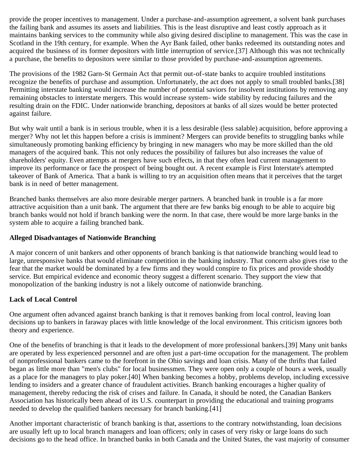provide the proper incentives to management. Under a purchase-and-assumption agreement, a solvent bank purchases the failing bank and assumes its assets and liabilities. This is the least disruptive and least costly approach as it maintains banking services to the community while also giving desired discipline to management. This was the case in Scotland in the 19th century, for example. When the Ayr Bank failed, other banks redeemed its outstanding notes and acquired the business of its former depositors with little interruption of service.[37] Although this was not technically a purchase, the benefits to depositors were similar to those provided by purchase-and-assumption agreements.

The provisions of the 1982 Garn-St Germain Act that permit out-of-state banks to acquire troubled institutions recognize the benefits of purchase and assumption. Unfortunately, the act does not apply to small troubled banks.[38] Permitting interstate banking would increase the number of potential saviors for insolvent institutions by removing any remaining obstacles to interstate mergers. This would increase system- wide stability by reducing failures and the resulting drain on the FDIC. Under nationwide branching, depositors at banks of all sizes would be better protected against failure.

But why wait until a bank is in serious trouble, when it is a less desirable (less salable) acquisition, before approving a merger? Why not let this happen before a crisis is imminent? Mergers can provide benefits to struggling banks while simultaneously promoting banking efficiency by bringing in new managers who may be more skilled than the old managers of the acquired bank. This not only reduces the possibility of failures but also increases the value of shareholders' equity. Even attempts at mergers have such effects, in that they often lead current management to improve its performance or face the prospect of being bought out. A recent example is First Interstate's attempted takeover of Bank of America. That a bank is willing to try an acquisition often means that it perceives that the target bank is in need of better management.

Branched banks themselves are also more desirable merger partners. A branched bank in trouble is a far more attractive acquisition than a unit bank. The argument that there are few banks big enough to be able to acquire big branch banks would not hold if branch banking were the norm. In that case, there would be more large banks in the system able to acquire a failing branched bank.

#### **Alleged Disadvantages of Nationwide Branching**

A major concern of unit bankers and other opponents of branch banking is that nationwide branching would lead to large, unresponsive banks that would eliminate competition in the banking industry. That concern also gives rise to the fear that the market would be dominated by a few firms and they would conspire to fix prices and provide shoddy service. But empirical evidence and economic theory suggest a different scenario. They support the view that monopolization of the banking industry is not a likely outcome of nationwide branching.

# **Lack of Local Control**

One argument often advanced against branch banking is that it removes banking from local control, leaving loan decisions up to bankers in faraway places with little knowledge of the local environment. This criticism ignores both theory and experience.

One of the benefits of branching is that it leads to the development of more professional bankers.[39] Many unit banks are operated by less experienced personnel and are often just a part-time occupation for the management. The problem of nonprofessional bankers came to the forefront in the Ohio savings and loan crisis. Many of the thrifts that failed began as little more than "men's clubs" for local businessmen. They were open only a couple of hours a week, usually as a place for the managers to play poker.[40] When banking becomes a hobby, problems develop, including excessive lending to insiders and a greater chance of fraudulent activities. Branch banking encourages a higher quality of management, thereby reducing the risk of crises and failure. In Canada, it should be noted, the Canadian Bankers Association has historically been ahead of its U.S. counterpart in providing the educational and training programs needed to develop the qualified bankers necessary for branch banking.[41]

Another important characteristic of branch banking is that, assertions to the contrary notwithstanding, loan decisions are usually left up to local branch managers and loan officers; only in cases of very risky or large loans do such decisions go to the head office. In branched banks in both Canada and the United States, the vast majority of consumer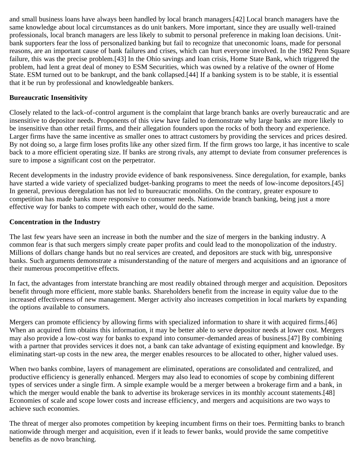and small business loans have always been handled by local branch managers.[42] Local branch managers have the same knowledge about local circumstances as do unit bankers. More important, since they are usually well-trained professionals, local branch managers are less likely to submit to personal preference in making loan decisions. Unitbank supporters fear the loss of personalized banking but fail to recognize that uneconomic loans, made for personal reasons, are an important cause of bank failures and crises, which can hurt everyone involved. In the 1982 Penn Square failure, this was the precise problem.[43] In the Ohio savings and loan crisis, Home State Bank, which triggered the problem, had lent a great deal of money to ESM Securities, which was owned by a relative of the owner of Home State. ESM turned out to be bankrupt, and the bank collapsed.[44] If a banking system is to be stable, it is essential that it be run by professional and knowledgeable bankers.

#### **Bureaucratic Insensitivity**

Closely related to the lack-of-control argument is the complaint that large branch banks are overly bureaucratic and are insensitive to depositor needs. Proponents of this view have failed to demonstrate why large banks are more likely to be insensitive than other retail firms, and their allegation founders upon the rocks of both theory and experience. Larger firms have the same incentive as smaller ones to attract customers by providing the services and prices desired. By not doing so, a large firm loses profits like any other sized firm. If the firm grows too large, it has incentive to scale back to a more efficient operating size. If banks are strong rivals, any attempt to deviate from consumer preferences is sure to impose a significant cost on the perpetrator.

Recent developments in the industry provide evidence of bank responsiveness. Since deregulation, for example, banks have started a wide variety of specialized budget-banking programs to meet the needs of low-income depositors.[45] In general, previous deregulation has not led to bureaucratic monoliths. On the contrary, greater exposure to competition has made banks more responsive to consumer needs. Nationwide branch banking, being just a more effective way for banks to compete with each other, would do the same.

#### **Concentration in the Industry**

The last few years have seen an increase in both the number and the size of mergers in the banking industry. A common fear is that such mergers simply create paper profits and could lead to the monopolization of the industry. Millions of dollars change hands but no real services are created, and depositors are stuck with big, unresponsive banks. Such arguments demonstrate a misunderstanding of the nature of mergers and acquisitions and an ignorance of their numerous procompetitive effects.

In fact, the advantages from interstate branching are most readily obtained through merger and acquisition. Depositors benefit through more efficient, more stable banks. Shareholders benefit from the increase in equity value due to the increased effectiveness of new management. Merger activity also increases competition in local markets by expanding the options available to consumers.

Mergers can promote efficiency by allowing firms with specialized information to share it with acquired firms.[46] When an acquired firm obtains this information, it may be better able to serve depositor needs at lower cost. Mergers may also provide a low-cost way for banks to expand into consumer-demanded areas of business.[47] By combining with a partner that provides services it does not, a bank can take advantage of existing equipment and knowledge. By eliminating start-up costs in the new area, the merger enables resources to be allocated to other, higher valued uses.

When two banks combine, layers of management are eliminated, operations are consolidated and centralized, and productive efficiency is generally enhanced. Mergers may also lead to economies of scope by combining different types of services under a single firm. A simple example would be a merger between a brokerage firm and a bank, in which the merger would enable the bank to advertise its brokerage services in its monthly account statements.[48] Economies of scale and scope lower costs and increase efficiency, and mergers and acquisitions are two ways to achieve such economies.

The threat of merger also promotes competition by keeping incumbent firms on their toes. Permitting banks to branch nationwide through merger and acquisition, even if it leads to fewer banks, would provide the same competitive benefits as de novo branching.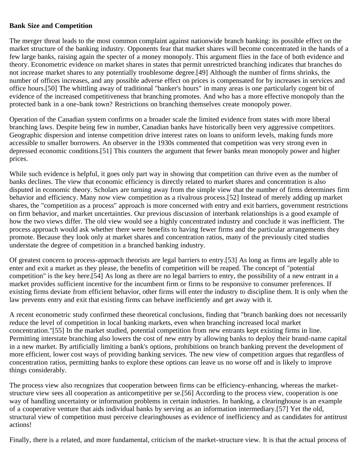#### **Bank Size and Competition**

The merger threat leads to the most common complaint against nationwide branch banking: its possible effect on the market structure of the banking industry. Opponents fear that market shares will become concentrated in the hands of a few large banks, raising again the specter of a money monopoly. This argument flies in the face of both evidence and theory. Econometric evidence on market shares in states that permit unrestricted branching indicates that branches do not increase market shares to any potentially troublesome degree.[49] Although the number of firms shrinks, the number of offices increases, and any possible adverse effect on prices is compensated for by increases in services and office hours.[50] The whittling away of traditional "banker's hours" in many areas is one particularly cogent bit of evidence of the increased competitiveness that branching promotes. And who has a more effective monopoly than the protected bank in a one-bank town? Restrictions on branching themselves create monopoly power.

Operation of the Canadian system confirms on a broader scale the limited evidence from states with more liberal branching laws. Despite being few in number, Canadian banks have historically been very aggressive competitors. Geographic dispersion and intense competition drive interest rates on loans to uniform levels, making funds more accessible to smaller borrowers. An observer in the 1930s commented that competition was very strong even in depressed economic conditions.[51] This counters the argument that fewer banks mean monopoly power and higher prices.

While such evidence is helpful, it goes only part way in showing that competition can thrive even as the number of banks declines. The view that economic efficiency is directly related to market shares and concentration is also disputed in economic theory. Scholars are turning away from the simple view that the number of firms determines firm behavior and efficiency. Many now view competition as a rivalrous process.[52] Instead of merely adding up market shares, the "competition as a process" approach is more concerned with entry and exit barriers, government restrictions on firm behavior, and market uncertainties. Our previous discussion of interbank relationships is a good example of how the two views differ. The old view would see a highly concentrated industry and conclude it was inefficient. The process approach would ask whether there were benefits to having fewer firms and the particular arrangements they promote. Because they look only at market shares and concentration ratios, many of the previously cited studies understate the degree of competition in a branched banking industry.

Of greatest concern to process-approach theorists are legal barriers to entry.[53] As long as firms are legally able to enter and exit a market as they please, the benefits of competition will be reaped. The concept of "potential competition" is the key here.[54] As long as there are no legal barriers to entry, the possibility of a new entrant in a market provides sufficient incentive for the incumbent firm or firms to be responsive to consumer preferences. If existing firms deviate from efficient behavior, other firms will enter the industry to discipline them. It is only when the law prevents entry and exit that existing firms can behave inefficiently and get away with it.

A recent econometric study confirmed these theoretical conclusions, finding that "branch banking does not necessarily reduce the level of competition in local banking markets, even when branching increased local market concentration."[55] In the market studied, potential competition from new entrants kept existing firms in line. Permitting interstate branching also lowers the cost of new entry by allowing banks to deploy their brand-name capital in a new market. By artificially limiting a bank's options, prohibitions on branch banking prevent the development of more efficient, lower cost ways of providing banking services. The new view of competition argues that regardless of concentration ratios, permitting banks to explore these options can leave us no worse off and is likely to improve things considerably.

The process view also recognizes that cooperation between firms can be efficiency-enhancing, whereas the marketstructure view sees all cooperation as anticompetitive per se.[56] According to the process view, cooperation is one way of handling uncertainty or information problems in certain industries. In banking, a clearinghouse is an example of a cooperative venture that aids individual banks by serving as an information intermediary.[57] Yet the old, structural view of competition must perceive clearinghouses as evidence of inefficiency and as candidates for antitrust actions!

Finally, there is a related, and more fundamental, criticism of the market-structure view. It is that the actual process of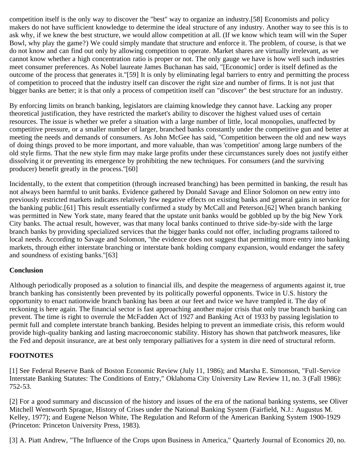competition itself is the only way to discover the "best" way to organize an industry.[58] Economists and policy makers do not have sufficient knowledge to determine the ideal structure of any industry. Another way to see this is to ask why, if we knew the best structure, we would allow competition at all. (If we know which team will win the Super Bowl, why play the game?) We could simply mandate that structure and enforce it. The problem, of course, is that we do not know and can find out only by allowing competition to operate. Market shares are virtually irrelevant, as we cannot know whether a high concentration ratio is proper or not. The only gauge we have is how well such industries meet consumer preferences. As Nobel laureate James Buchanan has said, "[Economic] order is itself defined as the outcome of the process that generates it."[59] It is only by eliminating legal barriers to entry and permitting the process of competition to proceed that the industry itself can discover the right size and number of firms. It is not just that bigger banks are better; it is that only a process of competition itself can "discover" the best structure for an industry.

By enforcing limits on branch banking, legislators are claiming knowledge they cannot have. Lacking any proper theoretical justification, they have restricted the market's ability to discover the highest valued uses of certain resources. The issue is whether we prefer a situation with a large number of little, local monopolies, unaffected by competitive pressure, or a smaller number of larger, branched banks constantly under the competitive gun and better at meeting the needs and demands of consumers. As John McGee has said, "Competition between the old and new ways of doing things proved to be more important, and more valuable, than was 'competition' among large numbers of the old style firms. That the new style firm may make large profits under these circumstances surely does not justify either dissolving it or preventing its emergence by prohibiting the new techniques. For consumers (and the surviving producer) benefit greatly in the process."[60]

Incidentally, to the extent that competition (through increased branching) has been permitted in banking, the result has not always been harmful to unit banks. Evidence gathered by Donald Savage and Elinor Solomon on new entry into previously restricted markets indicates relatively few negative effects on existing banks and general gains in service for the banking public.[61] This result essentially confirmed a study by McCall and Peterson.[62] When branch banking was permitted in New York state, many feared that the upstate unit banks would be gobbled up by the big New York City banks. The actual result, however, was that many local banks continued to thrive side-by-side with the large branch banks by providing specialized services that the bigger banks could not offer, including programs tailored to local needs. According to Savage and Solomon, "the evidence does not suggest that permitting more entry into banking markets, through either interstate branching or interstate bank holding company expansion, would endanger the safety and soundness of existing banks."[63]

#### **Conclusion**

Although periodically proposed as a solution to financial ills, and despite the meagerness of arguments against it, true branch banking has consistently been prevented by its politically powerful opponents. Twice in U.S. history the opportunity to enact nationwide branch banking has been at our feet and twice we have trampled it. The day of reckoning is here again. The financial sector is fast approaching another major crisis that only true branch banking can prevent. The time is right to overrule the McFadden Act of 1927 and Banking Act of 1933 by passing legislation to permit full and complete interstate branch banking. Besides helping to prevent an immediate crisis, this reform would provide high-quality banking and lasting macroeconomic stability. History has shown that patchwork measures, like the Fed and deposit insurance, are at best only temporary palliatives for a system in dire need of structural reform.

# **FOOTNOTES**

[1] See Federal Reserve Bank of Boston Economic Review (July 11, 1986); and Marsha E. Simonson, "Full-Service Interstate Banking Statutes: The Conditions of Entry," Oklahoma City University Law Review 11, no. 3 (Fall 1986): 752-53.

[2] For a good summary and discussion of the history and issues of the era of the national banking systems, see Oliver Mitchell Wentworth Sprague, History of Crises under the National Banking System (Fairfield, N.J.: Augustus M. Kelley, 1977); and Eugene Nelson White, The Regulation and Reform of the American Banking System 1900-1929 (Princeton: Princeton University Press, 1983).

[3] A. Piatt Andrew, "The Influence of the Crops upon Business in America," Quarterly Journal of Economics 20, no.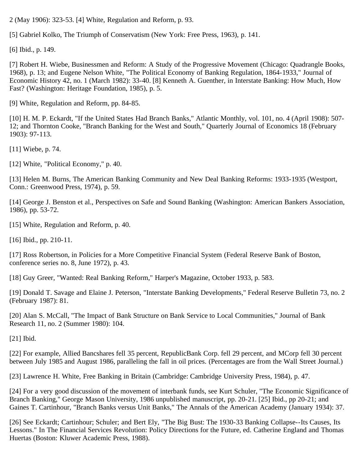2 (May 1906): 323-53. [4] White, Regulation and Reform, p. 93.

[5] Gabriel Kolko, The Triumph of Conservatism (New York: Free Press, 1963), p. 141.

[6] Ibid., p. 149.

[7] Robert H. Wiebe, Businessmen and Reform: A Study of the Progressive Movement (Chicago: Quadrangle Books, 1968), p. 13; and Eugene Nelson White, "The Political Economy of Banking Regulation, 1864-1933," Journal of Economic History 42, no. 1 (March 1982): 33-40. [8] Kenneth A. Guenther, in Interstate Banking: How Much, How Fast? (Washington: Heritage Foundation, 1985), p. 5.

[9] White, Regulation and Reform, pp. 84-85.

[10] H. M. P. Eckardt, "If the United States Had Branch Banks," Atlantic Monthly, vol. 101, no. 4 (April 1908): 507-12; and Thornton Cooke, "Branch Banking for the West and South," Quarterly Journal of Economics 18 (February 1903): 97-113.

[11] Wiebe, p. 74.

[12] White, "Political Economy," p. 40.

[13] Helen M. Burns, The American Banking Community and New Deal Banking Reforms: 1933-1935 (Westport, Conn.: Greenwood Press, 1974), p. 59.

[14] George J. Benston et al., Perspectives on Safe and Sound Banking (Washington: American Bankers Association, 1986), pp. 53-72.

[15] White, Regulation and Reform, p. 40.

[16] Ibid., pp. 210-11.

[17] Ross Robertson, in Policies for a More Competitive Financial System (Federal Reserve Bank of Boston, conference series no. 8, June 1972), p. 43.

[18] Guy Greer, "Wanted: Real Banking Reform," Harper's Magazine, October 1933, p. 583.

[19] Donald T. Savage and Elaine J. Peterson, "Interstate Banking Developments," Federal Reserve Bulletin 73, no. 2 (February 1987): 81.

[20] Alan S. McCall, "The Impact of Bank Structure on Bank Service to Local Communities," Journal of Bank Research 11, no. 2 (Summer 1980): 104.

[21] Ibid.

[22] For example, Allied Bancshares fell 35 percent, RepublicBank Corp. fell 29 percent, and MCorp fell 30 percent between July 1985 and August 1986, paralleling the fall in oil prices. (Percentages are from the Wall Street Journal.)

[23] Lawrence H. White, Free Banking in Britain (Cambridge: Cambridge University Press, 1984), p. 47.

[24] For a very good discussion of the movement of interbank funds, see Kurt Schuler, "The Economic Significance of Branch Banking," George Mason University, 1986 unpublished manuscript, pp. 20-21. [25] Ibid., pp 20-21; and Gaines T. Cartinhour, "Branch Banks versus Unit Banks," The Annals of the American Academy (January 1934): 37.

[26] See Eckardt; Cartinhour; Schuler; and Bert Ely, "The Big Bust: The 1930-33 Banking Collapse--Its Causes, Its Lessons." In The Financial Services Revolution: Policy Directions for the Future, ed. Catherine England and Thomas Huertas (Boston: Kluwer Academic Press, 1988).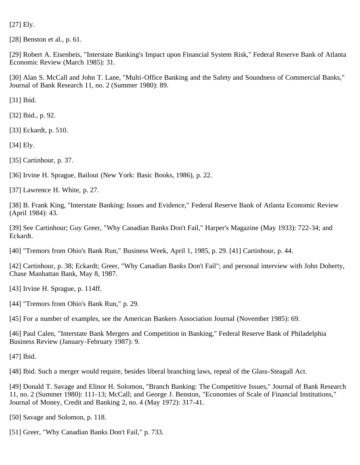[27] Ely.

[28] Benston et al., p. 61.

[29] Robert A. Eisenbeis, "Interstate Banking's Impact upon Financial System Risk," Federal Reserve Bank of Atlanta Economic Review (March 1985): 31.

[30] Alan S. McCall and John T. Lane, "Multi-Office Banking and the Safety and Soundness of Commercial Banks," Journal of Bank Research 11, no. 2 (Summer 1980): 89.

[31] Ibid.

[32] Ibid., p. 92.

[33] Eckardt, p. 510.

[34] Ely.

[35] Cartinhour, p. 37.

[36] Irvine H. Sprague, Bailout (New York: Basic Books, 1986), p. 22.

[37] Lawrence H. White, p. 27.

[38] B. Frank King, "Interstate Banking: Issues and Evidence," Federal Reserve Bank of Atlanta Economic Review (April 1984): 43.

[39] See Cartinhour; Guy Greer, "Why Canadian Banks Don't Fail," Harper's Magazine (May 1933): 722-34; and Eckardt.

[40] "Tremors from Ohio's Bank Run," Business Week, April 1, 1985, p. 29. [41] Cartinhour, p. 44.

[42] Cartinhour, p. 38; Eckardt; Greer, "Why Canadian Banks Don't Fail"; and personal interview with John Doherty, Chase Manhattan Bank, May 8, 1987.

[43] Irvine H. Sprague, p. 114ff.

[44] "Tremors from Ohio's Bank Run," p. 29.

[45] For a number of examples, see the American Bankers Association Journal (November 1985): 69.

[46] Paul Calen, "Interstate Bank Mergers and Competition in Banking," Federal Reserve Bank of Philadelphia Business Review (January-February 1987): 9.

[47] Ibid.

[48] Ibid. Such a merger would require, besides liberal branching laws, repeal of the Glass-Steagall Act.

[49] Donald T. Savage and Elinor H. Solomon, "Branch Banking: The Competitive Issues," Journal of Bank Research 11, no. 2 (Summer 1980): 111-13; McCall; and George J. Benston, "Economies of Scale of Financial Institutions," Journal of Money, Credit and Banking 2, no. 4 (May 1972): 317-41.

[50] Savage and Solomon, p. 118.

[51] Greer, "Why Canadian Banks Don't Fail," p. 733.